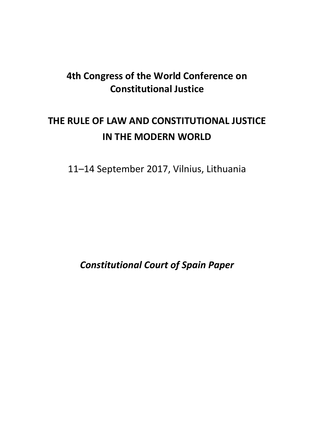## **4th Congress of the World Conference on Constitutional Justice**

# **THE RULE OF LAW AND CONSTITUTIONAL JUSTICE IN THE MODERN WORLD**

11–14 September 2017, Vilnius, Lithuania

*Constitutional Court of Spain Paper*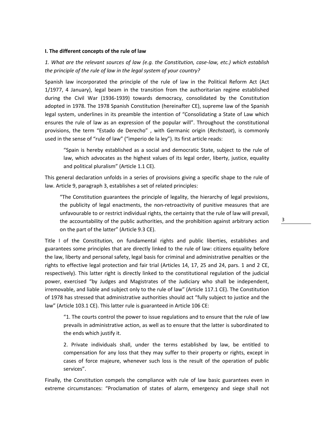#### **I. The different concepts of the rule of law**

*1. What are the relevant sources of law (e.g. the Constitution, case-law, etc.) which establish the principle of the rule of law in the legal system of your country?*

Spanish law incorporated the principle of the rule of law in the Political Reform Act (Act 1/1977, 4 January), legal beam in the transition from the authoritarian regime established during the Civil War (1936-1939) towards democracy, consolidated by the Constitution adopted in 1978. The 1978 Spanish Constitution (hereinafter CE), supreme law of the Spanish legal system, underlines in its preamble the intention of "Consolidating a State of Law which ensures the rule of law as an expression of the popular will". Throughout the constitutional provisions, the term "Estado de Derecho" , with Germanic origin (*Rechstaat*), is commonly used in the sense of "rule of law" ("imperio de la ley"). Its first article reads:

"Spain is hereby established as a social and democratic State, subject to the rule of law, which advocates as the highest values of its legal order, liberty, justice, equality and political pluralism" (Article 1.1 CE).

This general declaration unfolds in a series of provisions giving a specific shape to the rule of law. Article 9, paragraph 3, establishes a set of related principles:

"The Constitution guarantees the principle of legality, the hierarchy of legal provisions, the publicity of legal enactments, the non-retroactivity of punitive measures that are unfavourable to or restrict individual rights, the certainty that the rule of law will prevail, the accountability of the public authorities, and the prohibition against arbitrary action on the part of the latter" (Article 9.3 CE).

Title I of the Constitution, on fundamental rights and public liberties, establishes and guarantees some principles that are directly linked to the rule of law: citizens equality before the law, liberty and personal safety, legal basis for criminal and administrative penalties or the rights to effective legal protection and fair trial (Articles 14, 17, 25 and 24, pars. 1 and 2 CE, respectively). This latter right is directly linked to the constitutional regulation of the judicial power, exercised "by Judges and Magistrates of the Judiciary who shall be independent, irremovable, and liable and subject only to the rule of law" (Article 117.1 CE). The Constitution of 1978 has stressed that administrative authorities should act "fully subject to justice and the law" (Article 103.1 CE). This latter rule is guaranteed in Article 106 CE:

"1. The courts control the power to issue regulations and to ensure that the rule of law prevails in administrative action, as well as to ensure that the latter is subordinated to the ends which justify it.

2. Private individuals shall, under the terms established by law, be entitled to compensation for any loss that they may suffer to their property or rights, except in cases of force majeure, whenever such loss is the result of the operation of public services".

Finally, the Constitution compels the compliance with rule of law basic guarantees even in extreme circumstances: "Proclamation of states of alarm, emergency and siege shall not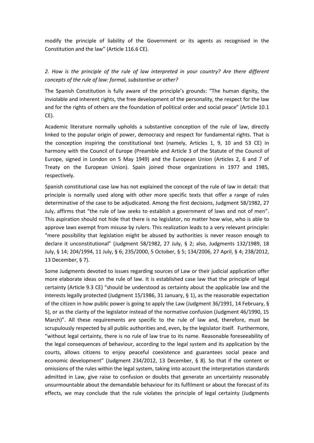modify the principle of liability of the Government or its agents as recognised in the Constitution and the law" (Article 116.6 CE).

## *2. How is the principle of the rule of law interpreted in your country? Are there different concepts of the rule of law: formal, substantive or other?*

The Spanish Constitution is fully aware of the principle's grounds: "The human dignity, the inviolable and inherent rights, the free development of the personality, the respect for the law and for the rights of others are the foundation of political order and social peace" (Article 10.1 CE).

Academic literature normally upholds a substantive conception of the rule of law, directly linked to the popular origin of power, democracy and respect for fundamental rights. That is the conception inspiring the constitutional text (namely, Articles 1, 9, 10 and 53 CE) in harmony with the Council of Europe (Preamble and Article 3 of the Statute of the Council of Europe, signed in London on 5 May 1949) and the European Union (Articles 2, 6 and 7 of Treaty on the European Union). Spain joined those organizations in 1977 and 1985, respectively.

Spanish constitutional case law has not explained the concept of the rule of law in detail: that principle is normally used along with other more specific texts that offer a range of rules determinative of the case to be adjudicated. Among the first decisions, Judgment 58/1982, 27 July, affirms that "the rule of law seeks to establish a government of laws and not of men". This aspiration should not hide that there is no legislator, no matter how wise, who is able to approve laws exempt from misuse by rulers. This realization leads to a very relevant principle: "mere possibility that legislation might be abused by authorities is never reason enough to declare it unconstitutional" (Judgment 58/1982, 27 July, § 2; also, Judgments 132/1989, 18 July, § 14; 204/1994, 11 July, § 6; 235/2000, 5 October, § 5; 134/2006, 27 April, § 4; 238/2012, 13 December, § 7).

Some Judgments devoted to issues regarding sources of Law or their judicial application offer more elaborate ideas on the rule of law. It is established case law that the principle of legal certainty (Article 9.3 CE) "should be understood as certainty about the applicable law and the interests legally protected (Judgment 15/1986, 31 January, § 1), as the reasonable expectation of the citizen in how public power is going to apply the Law (Judgment 36/1991, 14 February, § 5), or as the clarity of the legislator instead of the normative confusion (Judgment 46/1990, 15 March)". All these requirements are specific to the rule of law and, therefore, must be scrupulously respected by all public authorities and, even, by the legislator itself. Furthermore, "without legal certainty, there is no rule of law true to its name. Reasonable foreseeability of the legal consequences of behaviour, according to the legal system and its application by the courts, allows citizens to enjoy peaceful coexistence and guarantees social peace and economic development" (Judgment 234/2012, 13 December, § 8). So that if the content or omissions of the rules within the legal system, taking into account the interpretation standards admitted in Law, give raise to confusion or doubts that generate an uncertainty reasonably unsurmountable about the demandable behaviour for its fulfilment or about the forecast of its effects, we may conclude that the rule violates the principle of legal certainty (Judgments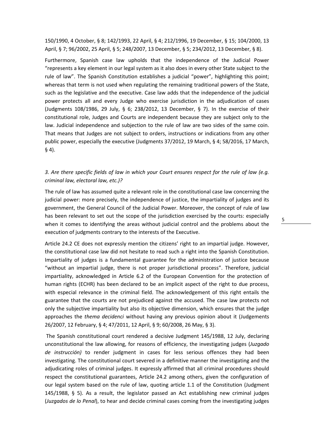150/1990, 4 October, § 8; 142/1993, 22 April, § 4; 212/1996, 19 December, § 15; 104/2000, 13 April, § 7; 96/2002, 25 April, § 5; 248/2007, 13 December, § 5; 234/2012, 13 December, § 8).

Furthermore, Spanish case law upholds that the independence of the Judicial Power "represents a key element in our legal system as it also does in every other State subject to the rule of law". The Spanish Constitution establishes a judicial "power", highlighting this point; whereas that term is not used when regulating the remaining traditional powers of the State, such as the legislative and the executive. Case law adds that the independence of the judicial power protects all and every Judge who exercise jurisdiction in the adjudication of cases (Judgments 108/1986, 29 July, § 6; 238/2012, 13 December, § 7). In the exercise of their constitutional role, Judges and Courts are independent because they are subject only to the law. Judicial independence and subjection to the rule of law are two sides of the same coin. That means that Judges are not subject to orders, instructions or indications from any other public power, especially the executive (Judgments 37/2012, 19 March, § 4; 58/2016, 17 March, § 4).

### *3. Are there specific fields of law in which your Court ensures respect for the rule of law (e.g. criminal law, electoral law, etc.)?*

The rule of law has assumed quite a relevant role in the constitutional case law concerning the judicial power: more precisely, the independence of justice, the impartiality of judges and its government, the General Council of the Judicial Power. Moreover, the concept of rule of law has been relevant to set out the scope of the jurisdiction exercised by the courts: especially when it comes to identifying the areas without judicial control and the problems about the execution of judgments contrary to the interests of the Executive.

Article 24.2 CE does not expressly mention the citizens' right to an impartial judge. However, the constitutional case law did not hesitate to read such a right into the Spanish Constitution. Impartiality of judges is a fundamental guarantee for the administration of justice because "without an impartial judge, there is not proper jurisdictional process". Therefore, judicial impartiality, acknowledged in Article 6.2 of the European Convention for the protection of human rights (ECHR) has been declared to be an implicit aspect of the right to due process, with especial relevance in the criminal field. The acknowledgement of this right entails the guarantee that the courts are not prejudiced against the accused. The case law protects not only the subjective impartiality but also its objective dimension, which ensures that the judge approaches the *thema decidenci* without having any previous opinion about it (Judgements 26/2007, 12 February, § 4; 47/2011, 12 April, § 9; 60/2008, 26 May, § 3).

The Spanish constitutional court rendered a decisive Judgment 145/1988, 12 July, declaring unconstitutional the law allowing, for reasons of efficiency, the investigating judges (*Juzgado de instrucción)* to render judgment in cases for less serious offences they had been investigating. The constitutional court severed in a definitive manner the investigating and the adjudicating roles of criminal judges. It expressly affirmed that all criminal procedures should respect the constitutional guarantees, Article 24.2 among others, given the configuration of our legal system based on the rule of law, quoting article 1.1 of the Constitution (Judgment 145/1988, § 5). As a result, the legislator passed an Act establishing new criminal judges (*Juzgados de lo Penal*), to hear and decide criminal cases coming from the investigating judges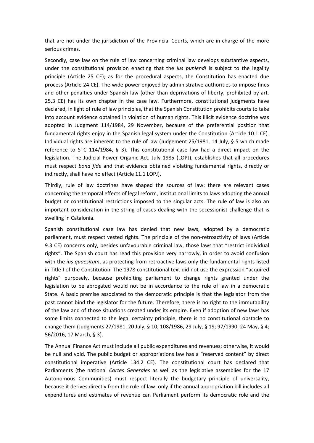that are not under the jurisdiction of the Provincial Courts, which are in charge of the more serious crimes.

Secondly, case law on the rule of law concerning criminal law develops substantive aspects, under the constitutional provision enacting that the *ius puniendi* is subject to the legality principle (Article 25 CE); as for the procedural aspects, the Constitution has enacted due process (Article 24 CE). The wide power enjoyed by administrative authorities to impose fines and other penalties under Spanish law (other than deprivations of liberty, prohibited by art. 25.3 CE) has its own chapter in the case law. Furthermore, constitutional judgments have declared, in light of rule of law principles, that the Spanish Constitution prohibits courts to take into account evidence obtained in violation of human rights. This illicit evidence doctrine was adopted in Judgment 114/1984, 29 November, because of the preferential position that fundamental rights enjoy in the Spanish legal system under the Constitution (Article 10.1 CE). Individual rights are inherent to the rule of law (Judgement 25/1981, 14 July, § 5 which made reference to STC 114/1984, § 3). This constitutional case law had a direct impact on the legislation. The Judicial Power Organic Act, July 1985 (LOPJ), establishes that all procedures must respect *bona fide* and that evidence obtained violating fundamental rights, directly or indirectly, shall have no effect (Article 11.1 LOPJ).

Thirdly, rule of law doctrines have shaped the sources of law: there are relevant cases concerning the temporal effects of legal reform, institutional limits to laws adopting the annual budget or constitutional restrictions imposed to the singular acts. The rule of law is also an important consideration in the string of cases dealing with the secessionist challenge that is swelling in Catalonia.

Spanish constitutional case law has denied that new laws, adopted by a democratic parliament, must respect vested rights. The principle of the non-retroactivity of laws (Article 9.3 CE) concerns only, besides unfavourable criminal law, those laws that "restrict individual rights". The Spanish court has read this provision very narrowly, in order to avoid confusion with the *ius quaesitum*, as protecting from retroactive laws only the fundamental rights listed in Title I of the Constitution. The 1978 constitutional text did not use the expression "acquired rights" purposely, because prohibiting parliament to change rights granted under the legislation to be abrogated would not be in accordance to the rule of law in a democratic State. A basic premise associated to the democratic principle is that the legislator from the past cannot bind the legislator for the future. Therefore, there is no right to the immutability of the law and of those situations created under its empire. Even if adoption of new laws has some limits connected to the legal certainty principle, there is no constitutional obstacle to change them (Judgments 27/1981, 20 July, § 10; 108/1986, 29 July, § 19; 97/1990, 24 May, § 4; 56/2016, 17 March, § 3).

The Annual Finance Act must include all public expenditures and revenues; otherwise, it would be null and void. The public budget or appropriations law has a "reserved content" by direct constitutional imperative (Article 134.2 CE). The constitutional court has declared that Parliaments (the national *Cortes Generales* as well as the legislative assemblies for the 17 Autonomous Communities) must respect literally the budgetary principle of universality, because it derives directly from the rule of law: only if the annual appropriation bill includes all expenditures and estimates of revenue can Parliament perform its democratic role and the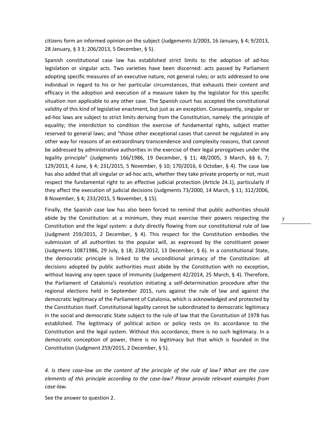citizens form an informed opinion on the subject (Judgements 3/2003, 16 January, § 4; 9/2013, 28 January, § 3 3; 206/2013, 5 December, § 5).

Spanish constitutional case law has established strict limits to the adoption of ad-hoc legislation or singular acts. Two varieties have been discerned: acts passed by Parliament adopting specific measures of an executive nature, not general rules; or acts addressed to one individual in regard to his or her particular circumstances, that exhausts their content and efficacy in the adoption and execution of a measure taken by the legislator for this specific situation non applicable to any other case. The Spanish court has accepted the constitutional validity of this kind of legislative enactment, but just as an exception. Consequently, singular or ad-hoc laws are subject to strict limits deriving from the Constitution, namely: the principle of equality; the interdiction to condition the exercise of fundamental rights, subject matter reserved to general laws; and "those other exceptional cases that cannot be regulated in any other way for reasons of an extraordinary transcendence and complexity reasons, that cannot be addressed by administrative authorities in the exercise of their legal prerogatives under the legality principle" (Judgments 166/1986, 19 December, § 11; 48/2005, 3 March, §§ 6, 7; 129/2013, 4 June, § 4; 231/2015, 5 November, § 10; 170/2016, 6 October, § 4). The case law has also added that all singular or ad-hoc acts, whether they take private property or not, must respect the fundamental right to an effective judicial protection (Article 24.1), particularly if they affect the execution of judicial decisions (Judgments 73/2000, 14 March, § 11; 312/2006, 8 November, § 4; 233/2015, 5 November, § 15).

Finally, the Spanish case law has also been forced to remind that public authorities should abide by the Constitution: at a minimum, they must exercise their powers respecting the Constitution and the legal system: a duty directly flowing from our constitutional rule of law (Judgment 259/2015, 2 December, § 4). This respect for the Constitution embodies the submission of all authorities to the popular will, as expressed by the constituent power (Judgments 10871986, 29 July, § 18; 238/2012, 13 December, § 6). In a constitutional State, the democratic principle is linked to the unconditional primacy of the Constitution: all decisions adopted by public authorities must abide by the Constitution with no exception, without leaving any open space of immunity (Judgement 42/2014, 25 March, § 4). Therefore, the Parliament of Catalonia's resolution initiating a self-determination procedure after the regional elections held in September 2015, runs against the rule of law and against the democratic legitimacy of the Parliament of Catalonia, which is acknowledged and protected by the Constitution itself. Constitutional legality cannot be subordinated to democratic legitimacy in the social and democratic State subject to the rule of law that the Constitution of 1978 has established. The legitimacy of political action or policy rests on its accordance to the Constitution and the legal system. Without this accordance, there is no such legitimacy. In a democratic conception of power, there is no legitimacy but that which is founded in the Constitution (Judgment 259/2015, 2 December, § 5).

7

*4. Is there case-law on the content of the principle of the rule of law? What are the core elements of this principle according to the case-law? Please provide relevant examples from case-law.*

See the answer to question 2.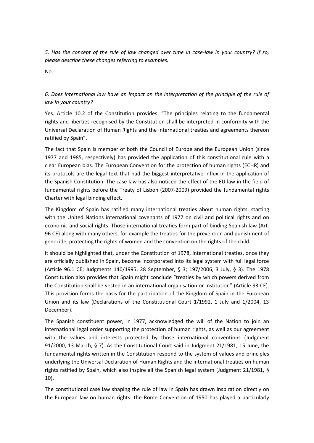*5. Has the concept of the rule of law changed over time in case-law in your country? If so, please describe these changes referring to examples.*

No.

*6. Does international law have an impact on the interpretation of the principle of the rule of law in your country?*

Yes. Article 10.2 of the Constitution provides: "The principles relating to the fundamental rights and liberties recognised by the Constitution shall be interpreted in conformity with the Universal Declaration of Human Rights and the international treaties and agreements thereon ratified by Spain".

The fact that Spain is member of both the Council of Europe and the European Union (since 1977 and 1985, respectively) has provided the application of this constitutional rule with a clear European bias. The European Convention for the protection of human rights (ECHR) and its protocols are the legal text that had the biggest interpretative influx in the application of the Spanish Constitution. The case law has also noticed the effect of the EU law in the field of fundamental rights before the Treaty of Lisbon (2007-2009) provided the fundamental rights Charter with legal binding effect.

The Kingdom of Spain has ratified many international treaties about human rights, starting with the United Nations international covenants of 1977 on civil and political rights and on economic and social rights. Those international treaties form part of binding Spanish law (Art. 96 CE) along with many others, for example the treaties for the prevention and punishment of genocide, protecting the rights of women and the convention on the rights of the child.

It should be highlighted that, under the Constitution of 1978, international treaties, once they are officially published in Spain, become incorporated into its legal system with full legal force (Article 96.1 CE; Judgments 140/1995, 28 September, § 3; 197/2006, 3 July, § 3). The 1978 Constitution also provides that Spain might conclude "treaties by which powers derived from the Constitution shall be vested in an international organisation or institution" (Article 93 CE). This provision forms the basis for the participation of the Kingdom of Spain in the European Union and its law (Declarations of the Constitutional Court 1/1992, 1 July and 1/2004, 13 December).

The Spanish constituent power, in 1977, acknowledged the will of the Nation to join an international legal order supporting the protection of human rights, as well as our agreement with the values and interests protected by those international conventions (Judgment 91/2000, 13 March, § 7). As the Constitutional Court said in Judgment 21/1981, 15 June, the fundamental rights written in the Constitution respond to the system of values and principles underlying the Universal Declaration of Human Rights and the international treaties on human rights ratified by Spain, which also inspire all the Spanish legal system (Judgment 21/1981, § 10).

The constitutional case law shaping the rule of law in Spain has drawn inspiration directly on the European law on human rights: the Rome Convention of 1950 has played a particularly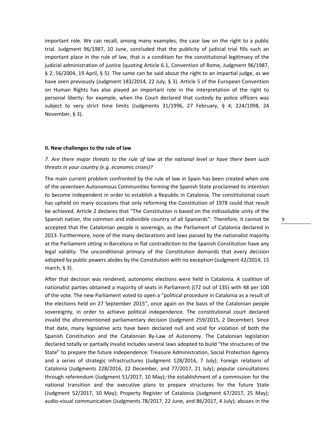important role. We can recall, among many examples, the case law on the right to a public trial. Judgment 96/1987, 10 June, concluded that the publicity of judicial trial fills such an important place in the rule of law, that is a condition for the constitutional legitimacy of the judicial administration of justice (quoting Article 6.1, Convention of Rome, Judgment 96/1987, § 2; 56/2004, 19 April, § 5). The same can be said about the right to an impartial judge, as we have seen previously (Judgment 183/2014, 22 July, § 3). Article 5 of the European Convention on Human Rights has also played an important role in the interpretation of the right to personal liberty: for example, when the Court declared that custody by police officers was subject to very strict time limits (Judgments 31/1996, 27 February, § 4; 224/1998, 24 November, § 3).

#### **II. New challenges to the rule of law**

## *7. Are there major threats to the rule of law at the national level or have there been such threats in your country (e.g. economic crises)?*

The main current problem confronted by the rule of law in Spain has been created when one of the seventeen Autonomous Communities forming the Spanish State proclaimed its intention to become independent in order to establish a Republic in Catalonia. The constitutional court has upheld on many occasions that only reforming the Constitution of 1978 could that result be achieved. Article 2 declares that "The Constitution is based on the indissoluble unity of the Spanish nation, the common and indivisible country of all Spaniards": Therefore, it cannot be accepted that the Catalonian people is sovereign, as the Parliament of Catalonia declared in 2013. Furthermore, none of the many declarations and laws passed by the nationalist majority at the Parliament sitting in Barcelona in flat contradiction to the Spanish Constitution have any legal validity. The unconditional primacy of the Constitution demands that every decision adopted by public powers abides by the Constitution with no exception (Judgment 42/2014, 15 march, § 3).

After that decision was rendered, autonomic elections were held in Catalonia. A coalition of nationalist parties obtained a majority of seats in Parliament ((72 out of 135) with 48 per 100 of the vote. The new Parliament voted to open a "political procedure in Catalonia as a result of the elections held on 27 September 2015", once again on the basis of the Catalonian people sovereignty, in order to achieve political independence. The constitutional court declared invalid the aforementioned parliamentary decision (Judgment 259/2015, 2 December). Since that date, many legislative acts have been declared null and void for violation of both the Spanish Constitution and the Catalonian By-Law of Autonomy. The Catalonian legislation declared totally or partially invalid includes several laws adopted to build "the structures of the State" to prepare the future independence: Treasure Administration, Social Protection Agency and a series of strategic infrastructures (Judgment 128/2016, 7 July); Foreign relations of Catalonia (Judgments 228/2016, 22 December, and 77/2017, 21 July); popular consultations through referendum (Judgment 51/2017, 10 May); the establishment of a commission for the national transition and the executive plans to prepare structures for the future State (Judgment 52/2017, 10 May); Property Register of Catalonia (Judgment 67/2017, 25 May); audio-visual communication (Judgments 78/2017, 22 June, and 86/2017, 4 July); abuses in the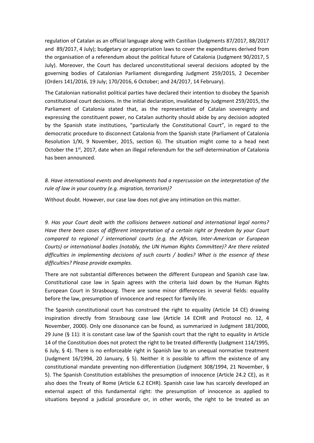regulation of Catalan as an official language along with Castilian (Judgments 87/2017, 88/2017 and 89/2017, 4 July); budgetary or appropriation laws to cover the expenditures derived from the organisation of a referendum about the political future of Catalonia (Judgment 90/2017, 5 July). Moreover, the Court has declared unconstitutional several decisions adopted by the governing bodies of Catalonian Parliament disregarding Judgment 259/2015, 2 December (Orders 141/2016, 19 July; 170/2016, 6 October; and 24/2017, 14 February).

The Catalonian nationalist political parties have declared their intention to disobey the Spanish constitutional court decisions. In the initial declaration, invalidated by Judgment 259/2015, the Parliament of Catalonia stated that, as the representative of Catalan sovereignty and expressing the constituent power, no Catalan authority should abide by any decision adopted by the Spanish state institutions, "particularly the Constitutional Court", in regard to the democratic procedure to disconnect Catalonia from the Spanish state (Parliament of Catalonia Resolution 1/XI, 9 November, 2015, section 6). The situation might come to a head next October the 1<sup>st</sup>, 2017, date when an illegal referendum for the self-determination of Catalonia has been announced.

*8. Have international events and developments had a repercussion on the interpretation of the rule of law in your country (e.g. migration, terrorism)?*

Without doubt. However, our case law does not give any intimation on this matter.

*9. Has your Court dealt with the collisions between national and international legal norms? Have there been cases of different interpretation of a certain right or freedom by your Court compared to regional / international courts (e.g. the African, Inter-American or European Courts) or international bodies (notably, the UN Human Rights Committee)? Are there related difficulties in implementing decisions of such courts / bodies? What is the essence of these difficulties? Please provide examples.*

There are not substantial differences between the different European and Spanish case law. Constitutional case law in Spain agrees with the criteria laid down by the Human Rights European Court in Strasbourg. There are some minor differences in several fields: equality before the law, presumption of innocence and respect for family life.

The Spanish constitutional court has construed the right to equality (Article 14 CE) drawing inspiration directly from Strasbourg case law (Article 14 ECHR and Protocol no. 12, 4 November, 2000). Only one dissonance can be found, as summarized in Judgment 181/2000, 29 June (§ 11): it is constant case law of the Spanish court that the right to equality in Article 14 of the Constitution does not protect the right to be treated differently (Judgment 114/1995, 6 July, § 4). There is no enforceable right in Spanish law to an unequal normative treatment (Judgment 16/1994, 20 January, § 5). Neither it is possible to affirm the existence of any constitutional mandate preventing non-differentiation (Judgment 308/1994, 21 November, § 5). The Spanish Constitution establishes the presumption of innocence (Article 24.2 CE), as it also does the Treaty of Rome (Article 6.2 ECHR). Spanish case law has scarcely developed an external aspect of this fundamental right: the presumption of innocence as applied to situations beyond a judicial procedure or, in other words, the right to be treated as an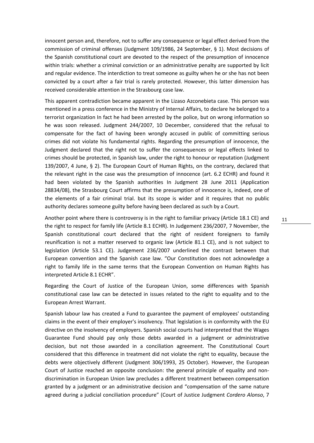innocent person and, therefore, not to suffer any consequence or legal effect derived from the commission of criminal offenses (Judgment 109/1986, 24 September, § 1). Most decisions of the Spanish constitutional court are devoted to the respect of the presumption of innocence within trials: whether a criminal conviction or an administrative penalty are supported by licit and regular evidence. The interdiction to treat someone as guilty when he or she has not been convicted by a court after a fair trial is rarely protected. However, this latter dimension has received considerable attention in the Strasbourg case law.

This apparent contradiction became apparent in the Lizaso Azconebieta case. This person was mentioned in a press conference in the Ministry of Internal Affairs, to declare he belonged to a terrorist organization In fact he had been arrested by the police, but on wrong information so he was soon released. Judgment 244/2007, 10 December, considered that the refusal to compensate for the fact of having been wrongly accused in public of committing serious crimes did not violate his fundamental rights. Regarding the presumption of innocence, the Judgment declared that the right not to suffer the consequences or legal effects linked to crimes should be protected, in Spanish law, under the right to honour or reputation (Judgment 139/2007, 4 June, § 2). The European Court of Human Rights, on the contrary, declared that the relevant right in the case was the presumption of innocence (art. 6.2 ECHR) and found it had been violated by the Spanish authorities In Judgment 28 June 2011 (Application 28834/08), the Strasbourg Court affirms that the presumption of innocence is, indeed, one of the elements of a fair criminal trial. but its scope is wider and it requires that no public authority declares someone guilty before having been declared as such by a Court.

Another point where there is controversy is in the right to familiar privacy (Article 18.1 CE) and the right to respect for family life (Article 8.1 ECHR). In Judgement 236/2007, 7 November, the Spanish constitutional court declared that the right of resident foreigners to family reunification is not a matter reserved to organic law (Article 81.1 CE), and is not subject to legislation (Article 53.1 CE). Judgement 236/2007 underlined the contrast between that European convention and the Spanish case law. "Our Constitution does not acknowledge a right to family life in the same terms that the European Convention on Human Rights has interpreted Article 8.1 ECHR".

Regarding the Court of Justice of the European Union, some differences with Spanish constitutional case law can be detected in issues related to the right to equality and to the European Arrest Warrant.

Spanish labour law has created a Fund to guarantee the payment of employees' outstanding claims in the event of their employer's insolvency. That legislation is in conformity with the EU directive on the insolvency of employers. Spanish social courts had interpreted that the Wages Guarantee Fund should pay only those debts awarded in a judgment or administrative decision, but not those awarded in a conciliation agreement. The Constitutional Court considered that this difference in treatment did not violate the right to equality, because the debts were objectively different (Judgment 306/1993, 25 October). However, the European Court of Justice reached an opposite conclusion: the general principle of equality and nondiscrimination in European Union law precludes a different treatment between compensation granted by a judgment or an administrative decision and "compensation of the same nature agreed during a judicial conciliation procedure" (Court of Justice Judgment *Cordero Alonso*, 7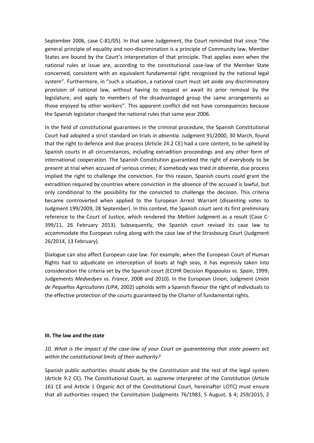September 2006, case C-81/05). In that same Judgement, the Court reminded that since "the general principle of equality and non-discrimination is a principle of Community law, Member States are bound by the Court's interpretation of that principle. That applies even when the national rules at issue are, according to the constitutional case-law of the Member State concerned, consistent with an equivalent fundamental right recognised by the national legal system". Furthermore, in "such a situation, a national court must set aside any discriminatory provision of national law, without having to request or await its prior removal by the legislature, and apply to members of the disadvantaged group the same arrangements as those enjoyed by other workers". This apparent conflict did not have consequences because the Spanish legislator changed the national rules that same year 2006.

In the field of constitutional guarantees in the criminal procedure, the Spanish Constitutional Court had adopted a strict standard on trials *in absentia*. Judgment 91/2000, 30 March, found that the right to defence and due process (Article 24.2 CE) had a core content, to be upheld by Spanish courts in all circumstances, including extradition proceedings and any other form of international cooperation. The Spanish Constitution guaranteed the right of everybody to be present at trial when accused of serious crimes; if somebody was tried *in absentia*, due process implied the right to challenge the conviction. For this reason, Spanish courts could grant the extradition required by countries where conviction in the absence of the accused is lawful, but only conditional to the possibility for the convicted to challenge the decision. This criteria became controverted when applied to the European Arrest Warrant (dissenting votes to Judgment 199/2009, 28 September). In this context, the Spanish court sent its first preliminary reference to the Court of Justice, which rendered the *Melloni* Judgment as a result (Case C-399/11, 26 February 2013). Subsequently, the Spanish court revised its case law to accommodate the European ruling along with the case law of the Strasbourg Court (Judgment 26/2014, 13 February).

Dialogue can also affect European case law. For example, when the European Court of Human Rights had to adjudicate on interception of boats at high seas, it has expressly taken into consideration the criteria set by the Spanish court (ECtHR Decision *Rigopoulos vs. Spain*, 1999; Judgements *Medvedyev vs. France*, 2008 and 2010). In the European Union, Judgment *Unión de Pequeños Agricultores (UPA*, 2002) upholds with a Spanish flavour the right of individuals to the effective protection of the courts guaranteed by the Charter of fundamental rights.

#### **III. The law and the state**

*10. What is the impact of the case-law of your Court on guaranteeing that state powers act within the constitutional limits of their authority?*

Spanish public authorities should abide by the Constitution and the rest of the legal system (Article 9.2 CE). The Constitutional Court, as supreme interpreter of the Constitution (Article 161 CE and Article 1 Organic Act of the Constitutional Court, hereinafter LOTC) must ensure that all authorities respect the Constitution (Judgments 76/1983, 5 August, § 4; 259/2015, 2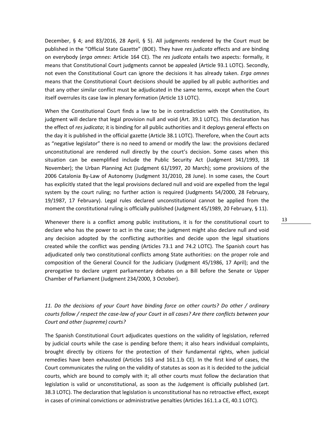December, § 4; and 83/2016, 28 April, § 5). All judgments rendered by the Court must be published in the "Official State Gazette" (BOE). They have *res judicata* effects and are binding on everybody (*erga omnes*: Article 164 CE). The *res judicata* entails two aspects: formally, it means that Constitutional Court judgments cannot be appealed (Article 93.1 LOTC). Secondly, not even the Constitutional Court can ignore the decisions it has already taken. *Erga omnes* means that the Constitutional Court decisions should be applied by all public authorities and that any other similar conflict must be adjudicated in the same terms, except when the Court itself overrules its case law in plenary formation (Article 13 LOTC).

When the Constitutional Court finds a law to be in contradiction with the Constitution, its judgment will declare that legal provision null and void (Art. 39.1 LOTC). This declaration has the effect of *res judicata*; it is binding for all public authorities and it deploys general effects on the day it is published in the official gazette (Article 38.1 LOTC). Therefore, when the Court acts as "negative legislator" there is no need to amend or modify the law: the provisions declared unconstitutional are rendered null directly by the court's decision. Some cases when this situation can be exemplified include the Public Security Act (Judgment 341/1993, 18 November); the Urban Planning Act (Judgment 61/1997, 20 March); some provisions of the 2006 Catalonia By-Law of Autonomy (Judgment 31/2010, 28 June). In some cases, the Court has explicitly stated that the legal provisions declared null and void are expelled from the legal system by the court ruling; no further action is required (Judgments 54/2000, 28 February, 19/1987, 17 February). Legal rules declared unconstitutional cannot be applied from the moment the constitutional ruling is officially published (Judgment 45/1989, 20 February, § 11).

Whenever there is a conflict among public institutions, it is for the constitutional court to declare who has the power to act in the case; the judgment might also declare null and void any decision adopted by the conflicting authorities and decide upon the legal situations created while the conflict was pending (Articles 73.1 and 74.2 LOTC). The Spanish court has adjudicated only two constitutional conflicts among State authorities: on the proper role and composition of the General Council for the Judiciary (Judgment 45/1986, 17 April); and the prerogative to declare urgent parliamentary debates on a Bill before the Senate or Upper Chamber of Parliament (Judgment 234/2000, 3 October).

## *11. Do the decisions of your Court have binding force on other courts? Do other / ordinary courts follow / respect the case-law of your Court in all cases? Are there conflicts between your Court and other (supreme) courts?*

The Spanish Constitutional Court adjudicates questions on the validity of legislation, referred by judicial courts while the case is pending before them; it also hears individual complaints, brought directly by citizens for the protection of their fundamental rights, when judicial remedies have been exhausted (Articles 163 and 161.1.b CE). In the first kind of cases, the Court communicates the ruling on the validity of statutes as soon as it is decided to the judicial courts, which are bound to comply with it; all other courts must follow the declaration that legislation is valid or unconstitutional, as soon as the Judgement is officially published (art. 38.3 LOTC). The declaration that legislation is unconstitutional has no retroactive effect, except in cases of criminal convictions or administrative penalties (Articles 161.1.a CE, 40.1 LOTC).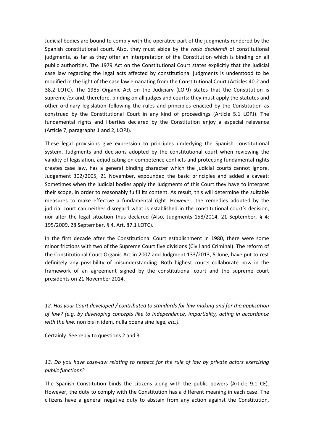Judicial bodies are bound to comply with the operative part of the judgments rendered by the Spanish constitutional court. Also, they must abide by the *ratio decidendi* of constitutional judgments, as far as they offer an interpretation of the Constitution which is binding on all public authorities. The 1979 Act on the Constitutional Court states explicitly that the judicial case law regarding the legal acts affected by constitutional judgments is understood to be modified in the light of the case law emanating from the Constitutional Court (Articles 40.2 and 38.2 LOTC). The 1985 Organic Act on the Judiciary (LOPJ) states that the Constitution is supreme *lex* and, therefore, binding on all judges and courts: they must apply the statutes and other ordinary legislation following the rules and principles enacted by the Constitution as construed by the Constitutional Court in any kind of proceedings (Article 5.1 LOPJ). The fundamental rights and liberties declared by the Constitution enjoy a especial relevance (Article 7, paragraphs 1 and 2, LOPJ).

These legal provisions give expression to principles underlying the Spanish constitutional system. Judgments and decisions adopted by the constitutional court when reviewing the validity of legislation, adjudicating on competence conflicts and protecting fundamental rights creates case law, has a general binding character which the judicial courts cannot ignore. Judgement 302/2005, 21 November, expounded the basic principles and added a caveat: Sometimes when the judicial bodies apply the judgments of this Court they have to interpret their scope, in order to reasonably fulfil its content. As result, this will determine the suitable measures to make effective a fundamental right. However, the remedies adopted by the judicial court can neither disregard what is established in the constitutional court's decision, nor alter the legal situation thus declared (Also, Judgments 158/2014, 21 September, § 4; 195/2009, 28 September, § 4. Art. 87.1 LOTC).

In the first decade after the Constitutional Court establishment in 1980, there were some minor frictions with two of the Supreme Court five divisions (Civil and Criminal). The reform of the Constitutional Court Organic Act in 2007 and Judgment 133/2013, 5 June, have put to rest definitely any possibility of misunderstanding. Both highest courts collaborate now in the framework of an agreement signed by the constitutional court and the supreme court presidents on 21 November 2014.

*12. Has your Court developed / contributed to standards for law-making and for the application of law? (e.g. by developing concepts like to independence, impartiality, acting in accordance with the law,* non bis in idem, nulla poena sine lege*, etc.).*

Certainly. See reply to questions 2 and 3.

*13. Do you have case-law relating to respect for the rule of law by private actors exercising public functions?*

The Spanish Constitution binds the citizens along with the public powers (Article 9.1 CE). However, the duty to comply with the Constitution has a different meaning in each case. The citizens have a general negative duty to abstain from any action against the Constitution,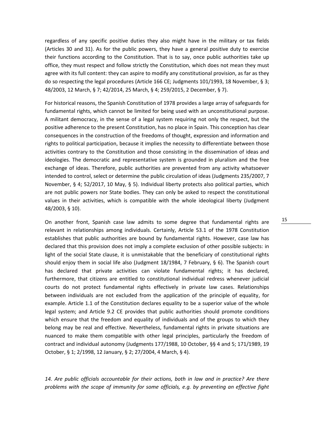regardless of any specific positive duties they also might have in the military or tax fields (Articles 30 and 31). As for the public powers, they have a general positive duty to exercise their functions according to the Constitution. That is to say, once public authorities take up office, they must respect and follow strictly the Constitution, which does not mean they must agree with its full content: they can aspire to modify any constitutional provision, as far as they do so respecting the legal procedures (Article 166 CE; Judgments 101/1993, 18 November, § 3; 48/2003, 12 March, § 7; 42/2014, 25 March, § 4; 259/2015, 2 December, § 7).

For historical reasons, the Spanish Constitution of 1978 provides a large array of safeguards for fundamental rights, which cannot be limited for being used with an unconstitutional purpose. A militant democracy, in the sense of a legal system requiring not only the respect, but the positive adherence to the present Constitution, has no place in Spain. This conception has clear consequences in the construction of the freedoms of thought, expression and information and rights to political participation, because it implies the necessity to differentiate between those activities contrary to the Constitution and those consisting in the dissemination of ideas and ideologies. The democratic and representative system is grounded in pluralism and the free exchange of ideas. Therefore, public authorities are prevented from any activity whatsoever intended to control, select or determine the public circulation of ideas (Judgments 235/2007, 7 November, § 4; 52/2017, 10 May, § 5). Individual liberty protects also political parties, which are not public powers nor State bodies. They can only be asked to respect the constitutional values in their activities, which is compatible with the whole ideological liberty (Judgment 48/2003, § 10).

On another front, Spanish case law admits to some degree that fundamental rights are relevant in relationships among individuals. Certainly, Article 53.1 of the 1978 Constitution establishes that public authorities are bound by fundamental rights. However, case law has declared that this provision does not imply a complete exclusion of other possible subjects: in light of the social State clause, it is unmistakable that the beneficiary of constitutional rights should enjoy them in social life also (Judgment 18/1984, 7 February, § 6). The Spanish court has declared that private activities can violate fundamental rights; it has declared, furthermore, that citizens are entitled to constitutional individual redress whenever judicial courts do not protect fundamental rights effectively in private law cases. Relationships between individuals are not excluded from the application of the principle of equality, for example. Article 1.1 of the Constitution declares equality to be a superior value of the whole legal system; and Article 9.2 CE provides that public authorities should promote conditions which ensure that the freedom and equality of individuals and of the groups to which they belong may be real and effective. Nevertheless, fundamental rights in private situations are nuanced to make them compatible with other legal principles, particularly the freedom of contract and individual autonomy (Judgments 177/1988, 10 October, §§ 4 and 5; 171/1989, 19 October, § 1; 2/1998, 12 January, § 2; 27/2004, 4 March, § 4).

*14. Are public officials accountable for their actions, both in law and in practice? Are there problems with the scope of immunity for some officials, e.g. by preventing an effective fight*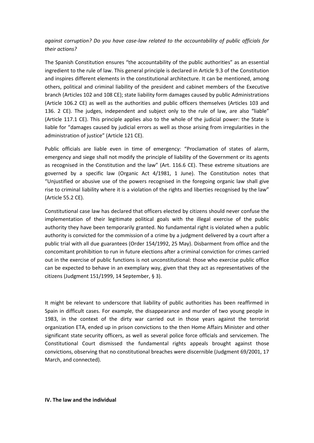## *against corruption? Do you have case-law related to the accountability of public officials for their actions?*

The Spanish Constitution ensures "the accountability of the public authorities" as an essential ingredient to the rule of law. This general principle is declared in Article 9.3 of the Constitution and inspires different elements in the constitutional architecture. It can be mentioned, among others, political and criminal liability of the president and cabinet members of the Executive branch (Articles 102 and 108 CE); state liability form damages caused by public Administrations (Article 106.2 CE) as well as the authorities and public officers themselves (Articles 103 and 136. 2 CE). The judges, independent and subject only to the rule of law, are also "liable" (Article 117.1 CE). This principle applies also to the whole of the judicial power: the State is liable for "damages caused by judicial errors as well as those arising from irregularities in the administration of justice" (Article 121 CE).

Public officials are liable even in time of emergency: "Proclamation of states of alarm, emergency and siege shall not modify the principle of liability of the Government or its agents as recognised in the Constitution and the law" (Art. 116.6 CE). These extreme situations are governed by a specific law (Organic Act 4/1981, 1 June). The Constitution notes that "Unjustified or abusive use of the powers recognised in the foregoing organic law shall give rise to criminal liability where it is a violation of the rights and liberties recognised by the law" (Article 55.2 CE).

Constitutional case law has declared that officers elected by citizens should never confuse the implementation of their legitimate political goals with the illegal exercise of the public authority they have been temporarily granted. No fundamental right is violated when a public authority is convicted for the commission of a crime by a judgment delivered by a court after a public trial with all due guarantees (Order 154/1992, 25 May). Disbarment from office and the concomitant prohibition to run in future elections after a criminal conviction for crimes carried out in the exercise of public functions is not unconstitutional: those who exercise public office can be expected to behave in an exemplary way, given that they act as representatives of the citizens (Judgment 151/1999, 14 September, § 3).

It might be relevant to underscore that liability of public authorities has been reaffirmed in Spain in difficult cases. For example, the disappearance and murder of two young people in 1983, in the context of the dirty war carried out in those years against the terrorist organization ETA, ended up in prison convictions to the then Home Affairs Minister and other significant state security officers, as well as several police force officials and servicemen. The Constitutional Court dismissed the fundamental rights appeals brought against those convictions, observing that no constitutional breaches were discernible (Judgment 69/2001, 17 March, and connected).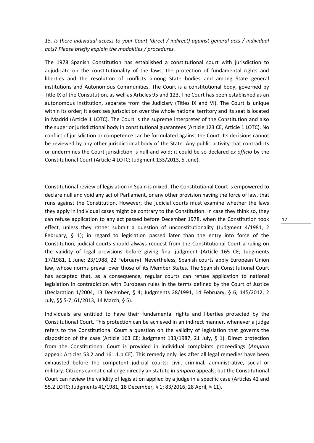*15. Is there individual access to your Court (direct / indirect) against general acts / individual acts? Please briefly explain the modalities / procedures.*

The 1978 Spanish Constitution has established a constitutional court with jurisdiction to adjudicate on the constitutionality of the laws, the protection of fundamental rights and liberties and the resolution of conflicts among State bodies and among State general institutions and Autonomous Communities. The Court is a constitutional body, governed by Title IX of the Constitution, as well as Articles 95 and 123. The Court has been established as an autonomous institution, separate from the Judiciary (Titles IX and VI). The Court is unique within its order; it exercises jurisdiction over the whole national territory and its seat is located in Madrid (Article 1 LOTC). The Court is the supreme interpreter of the Constitution and also the superior jurisdictional body in constitutional guarantees (Article 123 CE, Article 1 LOTC). No conflict of jurisdiction or competence can be formulated against the Court. Its decisions cannot be reviewed by any other jurisdictional body of the State. Any public activity that contradicts or undermines the Court jurisdiction is null and void; it could be so declared *ex officio* by the Constitutional Court (Article 4 LOTC; Judgment 133/2013, 5 June).

Constitutional review of legislation in Spain is mixed. The Constitutional Court is empowered to declare null and void any act of Parliament, or any other provision having the force of law, that runs against the Constitution. However, the judicial courts must examine whether the laws they apply in individual cases might be contrary to the Constitution. In case they think so, they can refuse application to any act passed before December 1978, when the Constitution took effect, unless they rather submit a question of unconstitutionality (Judgment 4/1981, 2 February,  $\S$  1); in regard to legislation passed later than the entry into force of the Constitution, judicial courts should always request from the Constitutional Court a ruling on the validity of legal provisions before giving final judgment (Article 165 CE; Judgments 17/1981, 1 June; 23/1988, 22 February). Nevertheless, Spanish courts apply European Union law, whose norms prevail over those of its Member States. The Spanish Constitutional Court has accepted that, as a consequence, regular courts can refuse application to national legislation in contradiction with European rules in the terms defined by the Court of Justice (Declaration 1/2004, 13 December, § 4; Judgments 28/1991, 14 February, § 6; 145/2012, 2 July, §§ 5-7; 61/2013, 14 March, § 5).

Individuals are entitled to have their fundamental rights and liberties protected by the Constitutional Court. This protection can be achieved in an indirect manner, whenever a judge refers to the Constitutional Court a question on the validity of legislation that governs the disposition of the case (Article 163 CE; Judgment 133/1987, 21 July, § 1). Direct protection from the Constitutional Court is provided in individual complaints proceedings (*Amparo* appeal: Articles 53.2 and 161.1.b CE). This remedy only lies after all legal remedies have been exhausted before the competent judicial courts: civil, criminal, administrative, social or military. Citizens cannot challenge directly an statute in *amparo* appeals; but the Constitutional Court can review the validity of legislation applied by a judge in a specific case (Articles 42 and 55.2 LOTC; Judgments 41/1981, 18 December, § 1; 83/2016, 28 April, § 11).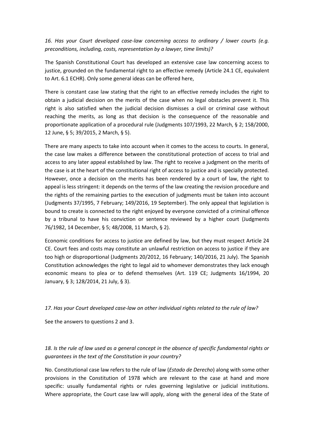*16. Has your Court developed case-law concerning access to ordinary / lower courts (e.g. preconditions, including, costs, representation by a lawyer, time limits)?*

The Spanish Constitutional Court has developed an extensive case law concerning access to justice, grounded on the fundamental right to an effective remedy (Article 24.1 CE, equivalent to Art. 6.1 ECHR). Only some general ideas can be offered here,

There is constant case law stating that the right to an effective remedy includes the right to obtain a judicial decision on the merits of the case when no legal obstacles prevent it. This right is also satisfied when the judicial decision dismisses a civil or criminal case without reaching the merits, as long as that decision is the consequence of the reasonable and proportionate application of a procedural rule (Judgments 107/1993, 22 March, § 2; 158/2000, 12 June, § 5; 39/2015, 2 March, § 5).

There are many aspects to take into account when it comes to the access to courts. In general, the case law makes a difference between the constitutional protection of access to trial and access to any later appeal established by law. The right to receive a judgment on the merits of the case is at the heart of the constitutional right of access to justice and is specially protected. However, once a decision on the merits has been rendered by a court of law, the right to appeal is less stringent: it depends on the terms of the law creating the revision procedure and the rights of the remaining parties to the execution of judgments must be taken into account (Judgments 37/1995, 7 February; 149/2016, 19 September). The only appeal that legislation is bound to create is connected to the right enjoyed by everyone convicted of a criminal offence by a tribunal to have his conviction or sentence reviewed by a higher court (Judgments 76/1982, 14 December, § 5; 48/2008, 11 March, § 2).

Economic conditions for access to justice are defined by law, but they must respect Article 24 CE. Court fees and costs may constitute an unlawful restriction on access to justice if they are too high or disproportional (Judgments 20/2012, 16 February; 140/2016, 21 July). The Spanish Constitution acknowledges the right to legal aid to whomever demonstrates they lack enough economic means to plea or to defend themselves (Art. 119 CE; Judgments 16/1994, 20 January, § 3; 128/2014, 21 July, § 3).

#### *17. Has your Court developed case-law on other individual rights related to the rule of law?*

See the answers to questions 2 and 3.

*18. Is the rule of law used as a general concept in the absence of specific fundamental rights or guarantees in the text of the Constitution in your country?*

No. Constitutional case law refers to the rule of law (*Estado de Derecho*) along with some other provisions in the Constitution of 1978 which are relevant to the case at hand and more specific: usually fundamental rights or rules governing legislative or judicial institutions. Where appropriate, the Court case law will apply, along with the general idea of the State of